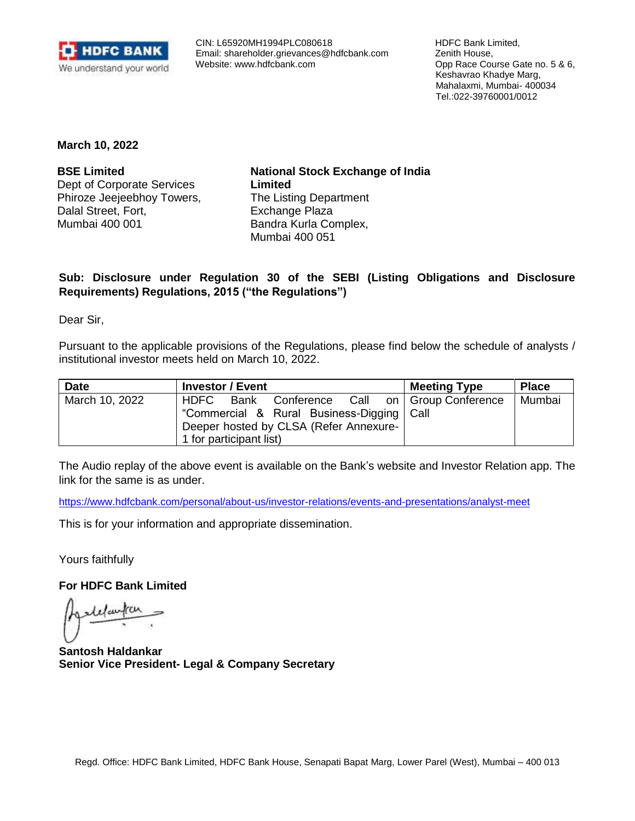

 CIN: L65920MH1994PLC080618 Email: [shareholder.grievances@hdfcbank.com](mailto:shareholder.grievances@hdfcbank.com) Website: [www.hdfcbank.com](http://www.hdfcbank.com/)

 HDFC Bank Limited, Zenith House, Opp Race Course Gate no. 5 & 6, Keshavrao Khadye Marg, Mahalaxmi, Mumbai- 400034 Tel.:022-39760001/0012

**March 10, 2022**

**BSE Limited** Dept of Corporate Services Phiroze Jeejeebhoy Towers, Dalal Street, Fort, Mumbai 400 001

**National Stock Exchange of India Limited** The Listing Department Exchange Plaza Bandra Kurla Complex, Mumbai 400 051

## **Sub: Disclosure under Regulation 30 of the SEBI (Listing Obligations and Disclosure Requirements) Regulations, 2015 ("the Regulations")**

Dear Sir,

Pursuant to the applicable provisions of the Regulations, please find below the schedule of analysts / institutional investor meets held on March 10, 2022.

| <b>Date</b>    | <b>Investor / Event</b>                                                                                                                                           | <b>Meeting Type</b> | <b>Place</b> |
|----------------|-------------------------------------------------------------------------------------------------------------------------------------------------------------------|---------------------|--------------|
| March 10, 2022 | HDFC Bank Conference Call on Group Conference<br>"Commercial & Rural Business-Digging   Call<br>Deeper hosted by CLSA (Refer Annexure-<br>1 for participant list) |                     | Mumbai       |

The Audio replay of the above event is available on the Bank's website and Investor Relation app. The link for the same is as under.

<https://www.hdfcbank.com/personal/about-us/investor-relations/events-and-presentations/analyst-meet>

This is for your information and appropriate dissemination.

Yours faithfully

**For HDFC Bank Limited** 

lelautan

**Santosh Haldankar Senior Vice President- Legal & Company Secretary**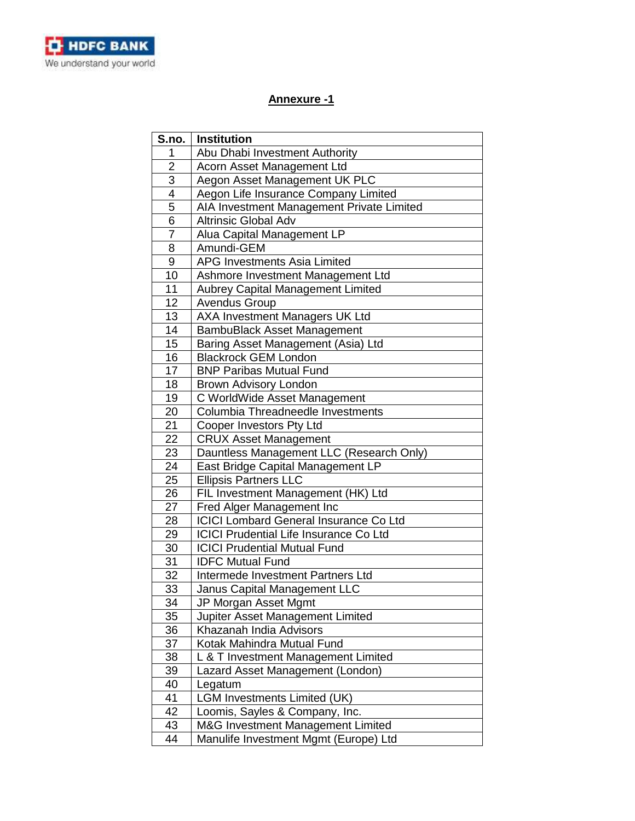

## **Annexure -1**

| S.no.          | <b>Institution</b>                            |
|----------------|-----------------------------------------------|
| 1              | Abu Dhabi Investment Authority                |
| $\overline{2}$ | Acorn Asset Management Ltd                    |
| $\overline{3}$ | Aegon Asset Management UK PLC                 |
|                | Aegon Life Insurance Company Limited          |
| $\frac{4}{5}$  | AIA Investment Management Private Limited     |
| 6              | <b>Altrinsic Global Adv</b>                   |
| $\overline{7}$ | Alua Capital Management LP                    |
| 8              | Amundi-GEM                                    |
| 9              | <b>APG Investments Asia Limited</b>           |
| 10             | Ashmore Investment Management Ltd             |
| 11             | Aubrey Capital Management Limited             |
| 12             | <b>Avendus Group</b>                          |
| 13             | AXA Investment Managers UK Ltd                |
| 14             | <b>BambuBlack Asset Management</b>            |
| 15             | Baring Asset Management (Asia) Ltd            |
| 16             | <b>Blackrock GEM London</b>                   |
| 17             | <b>BNP Paribas Mutual Fund</b>                |
| 18             | <b>Brown Advisory London</b>                  |
| 19             | C WorldWide Asset Management                  |
| 20             | Columbia Threadneedle Investments             |
| 21             | Cooper Investors Pty Ltd                      |
| 22             | <b>CRUX Asset Management</b>                  |
| 23             | Dauntless Management LLC (Research Only)      |
| 24             | East Bridge Capital Management LP             |
| 25             | <b>Ellipsis Partners LLC</b>                  |
| 26             | FIL Investment Management (HK) Ltd            |
| 27             | Fred Alger Management Inc                     |
| 28             | <b>ICICI Lombard General Insurance Co Ltd</b> |
| 29             | <b>ICICI Prudential Life Insurance Co Ltd</b> |
| 30             | <b>ICICI Prudential Mutual Fund</b>           |
| 31             | <b>IDFC Mutual Fund</b>                       |
| 32             | Intermede Investment Partners Ltd             |
| 33             | Janus Capital Management LLC                  |
| 34             | JP Morgan Asset Mgmt                          |
| 35             | Jupiter Asset Management Limited              |
| 36             | Khazanah India Advisors                       |
| 37             | Kotak Mahindra Mutual Fund                    |
| 38             | L & T Investment Management Limited           |
| 39             | Lazard Asset Management (London)              |
| 40             | Legatum                                       |
| 41             | <b>LGM Investments Limited (UK)</b>           |
| 42             | Loomis, Sayles & Company, Inc.                |
| 43             | M&G Investment Management Limited             |
| 44             | Manulife Investment Mgmt (Europe) Ltd         |